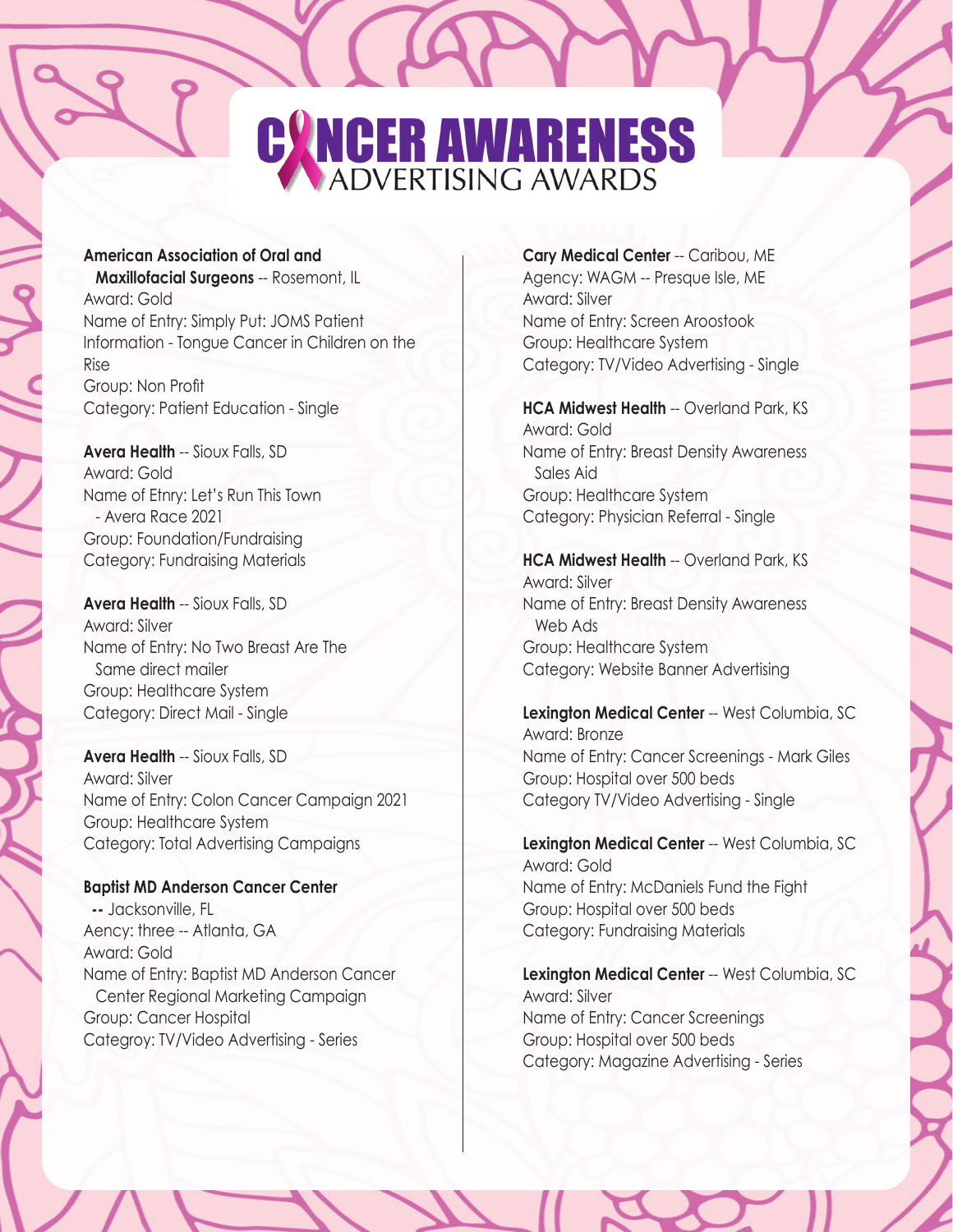# CANCER AWARENESS

# **American Association of Oral and**

 **Maxillofacial Surgeons** -- Rosemont, IL Award: Gold Name of Entry: Simply Put: JOMS Patient Information - Tongue Cancer in Children on the Rise Group: Non Profit Category: Patient Education - Single

**Avera Health** -- Sioux Falls, SD Award: Gold Name of Etnry: Let's Run This Town - Avera Race 2021 Group: Foundation/Fundraising Category: Fundraising Materials

**Avera Health** -- Sioux Falls, SD Award: Silver Name of Entry: No Two Breast Are The Same direct mailer Group: Healthcare System Category: Direct Mail - Single

**Avera Health** -- Sioux Falls, SD Award: Silver Name of Entry: Colon Cancer Campaign 2021 Group: Healthcare System Category: Total Advertising Campaigns

#### **Baptist MD Anderson Cancer Center**

 **--** Jacksonville, FL Aency: three -- Atlanta, GA Award: Gold Name of Entry: Baptist MD Anderson Cancer Center Regional Marketing Campaign Group: Cancer Hospital Categroy: TV/Video Advertising - Series

**Cary Medical Center** -- Caribou, ME Agency: WAGM -- Presque Isle, ME Award: Silver Name of Entry: Screen Aroostook Group: Healthcare System Category: TV/Video Advertising - Single

**HCA Midwest Health** -- Overland Park, KS Award: Gold Name of Entry: Breast Density Awareness Sales Aid Group: Healthcare System Category: Physician Referral - Single

**HCA Midwest Health** -- Overland Park, KS Award: Silver Name of Entry: Breast Density Awareness Web Ads Group: Healthcare System Category: Website Banner Advertising

**Lexington Medical Center** -- West Columbia, SC Award: Bronze Name of Entry: Cancer Screenings - Mark Giles Group: Hospital over 500 beds Category TV/Video Advertising - Single

**Lexington Medical Center** -- West Columbia, SC Award: Gold Name of Entry: McDaniels Fund the Fight Group: Hospital over 500 beds Category: Fundraising Materials

**Lexington Medical Center** -- West Columbia, SC Award: Silver Name of Entry: Cancer Screenings Group: Hospital over 500 beds Category: Magazine Advertising - Series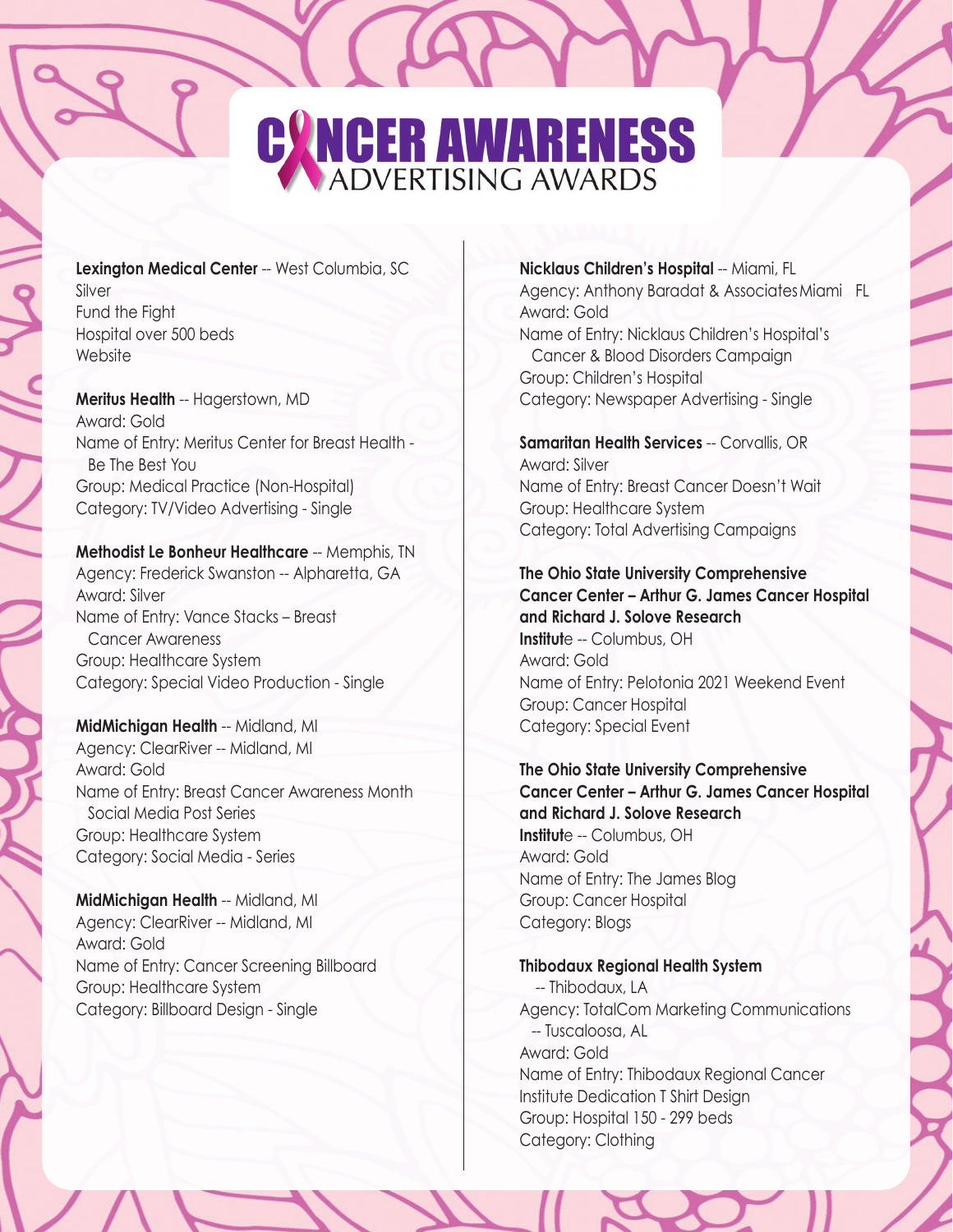# CANCER AWARENESS

#### **Lexington Medical Center** -- West Columbia, SC Silver Fund the Fight Hospital over 500 beds

**Meritus Health** -- Hagerstown, MD Award: Gold Name of Entry: Meritus Center for Breast Health - Be The Best You Group: Medical Practice (Non-Hospital) Category: TV/Video Advertising - Single

#### **Methodist Le Bonheur Healthcare** -- Memphis, TN

Agency: Frederick Swanston -- Alpharetta, GA Award: Silver Name of Entry: Vance Stacks – Breast Cancer Awareness Group: Healthcare System Category: Special Video Production - Single

**MidMichigan Health** -- Midland, MI Agency: ClearRiver -- Midland, MI Award: Gold Name of Entry: Breast Cancer Awareness Month Social Media Post Series Group: Healthcare System Category: Social Media - Series

**MidMichigan Health** -- Midland, MI Agency: ClearRiver -- Midland, MI Award: Gold Name of Entry: Cancer Screening Billboard Group: Healthcare System Category: Billboard Design - Single

**Nicklaus Children's Hospital** -- Miami, FL Agency: Anthony Baradat & AssociatesMiami FL Award: Gold Name of Entry: Nicklaus Children's Hospital's Cancer & Blood Disorders Campaign Group: Children's Hospital Category: Newspaper Advertising - Single

**Samaritan Health Services** -- Corvallis, OR Award: Silver Name of Entry: Breast Cancer Doesn't Wait Group: Healthcare System Category: Total Advertising Campaigns

**The Ohio State University Comprehensive Cancer Center – Arthur G. James Cancer Hospital and Richard J. Solove Research Institut**e -- Columbus, OH Award: Gold Name of Entry: Pelotonia 2021 Weekend Event Group: Cancer Hospital Category: Special Event

**The Ohio State University Comprehensive Cancer Center – Arthur G. James Cancer Hospital and Richard J. Solove Research Institut**e -- Columbus, OH Award: Gold Name of Entry: The James Blog Group: Cancer Hospital Category: Blogs

# **Thibodaux Regional Health System**

 -- Thibodaux, LA Agency: TotalCom Marketing Communications -- Tuscaloosa, AL Award: Gold Name of Entry: Thibodaux Regional Cancer Institute Dedication T Shirt Design Group: Hospital 150 - 299 beds Category: Clothing

Website